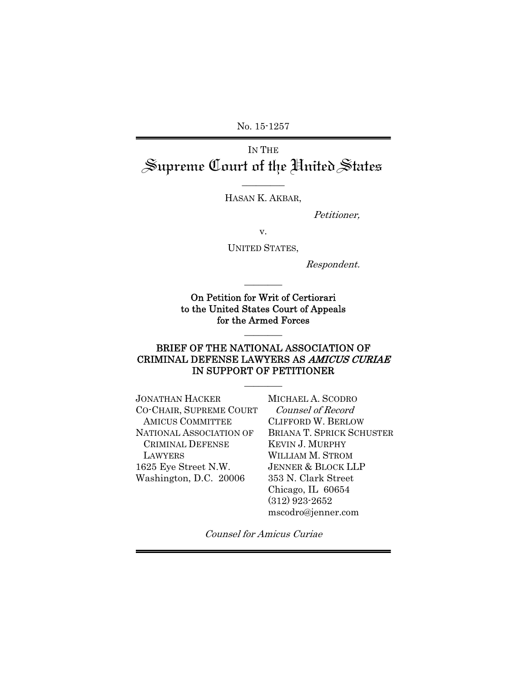No. 15-1257

# IN THE Supreme Court of the United States

\_\_\_\_\_\_\_\_\_ HASAN K. AKBAR,

Petitioner,

v.

UNITED STATES,

Respondent.

On Petition for Writ of Certiorari to the United States Court of Appeals for the Armed Forces

 $\overline{\phantom{a}}$   $\overline{\phantom{a}}$ 

### BRIEF OF THE NATIONAL ASSOCIATION OF CRIMINAL DEFENSE LAWYERS AS AMICUS CURIAE IN SUPPORT OF PETITIONER

 $\overline{\phantom{a}}$ 

 $\overline{\phantom{a}}$   $\overline{\phantom{a}}$ 

| <b>JONATHAN HACKER</b>  | MICHAEL A. SCODRO            |
|-------------------------|------------------------------|
| CO-CHAIR, SUPREME COURT | Counsel of Record            |
| <b>AMICUS COMMITTEE</b> | CLIFFORD W. BERLOV           |
| NATIONAL ASSOCIATION OF | <b>BRIANA T. SPRICK SC</b>   |
| <b>CRIMINAL DEFENSE</b> | <b>KEVIN J. MURPHY</b>       |
| LAWYERS                 | <b>WILLIAM M. STROM</b>      |
| 1625 Eye Street N.W.    | <b>JENNER &amp; BLOCK LL</b> |
| Washington, D.C. 20006  | 353 N. Clark Street          |
|                         | Chicago, IL 60654            |
|                         |                              |

**CRLOW K SCHUSTER** KEVIN J. MURPHY  $10M$ KLLP reet  $54$ (312) 923-2652 mscodro@jenner.com

Counsel for Amicus Curiae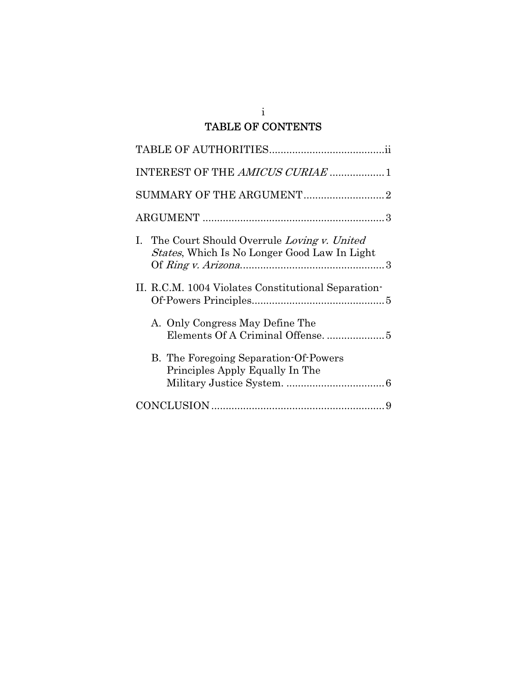# i TABLE OF CONTENTS

| I. The Court Should Overrule Loving v. United<br><i>States</i> , Which Is No Longer Good Law In Light |
|-------------------------------------------------------------------------------------------------------|
| II. R.C.M. 1004 Violates Constitutional Separation-                                                   |
| A. Only Congress May Define The                                                                       |
| B. The Foregoing Separation-Of-Powers<br>Principles Apply Equally In The                              |
|                                                                                                       |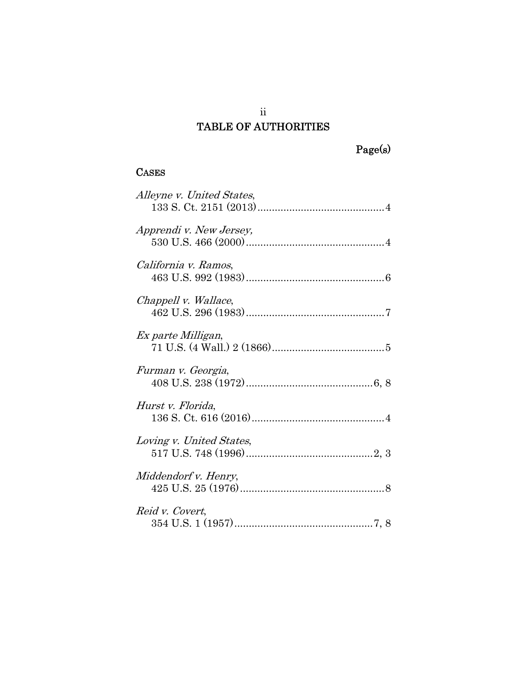# ii TABLE OF AUTHORITIES

# Page(s)

# **CASES**

| Alleyne v. United States, |
|---------------------------|
| Apprendi v. New Jersey,   |
| California v. Ramos,      |
| Chappell v. Wallace,      |
| Ex parte Milligan,        |
| Furman v. Georgia,        |
| Hurst v. Florida,         |
| Loving v. United States,  |
| Middendorf v. Henry,      |
| Reid v. Covert,           |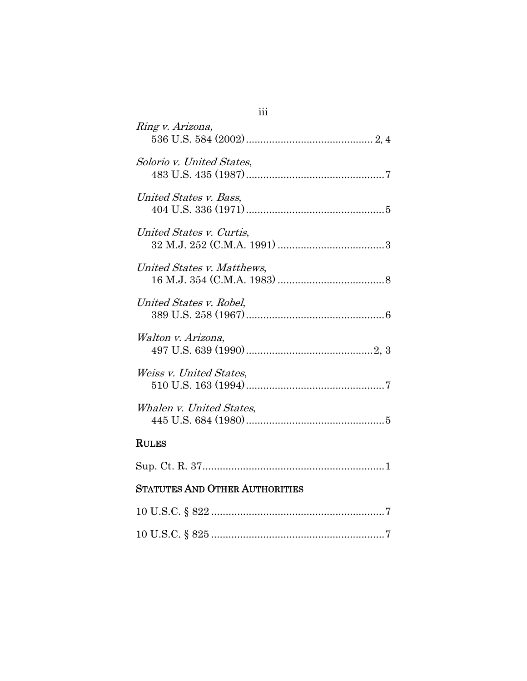| Ring v. Arizona,                                                                  |
|-----------------------------------------------------------------------------------|
| Solorio v. United States,                                                         |
| United States v. Bass,                                                            |
| United States v. Curtis,                                                          |
| United States v. Matthews,<br>$16 \text{ M.J. } 354 \text{ (C.M.A. } 1983) \dots$ |
| United States v. Robel.                                                           |
| Walton v. Arizona,                                                                |
| Weiss v. United States.                                                           |
| Whalen v. United States,                                                          |
| <b>RULES</b>                                                                      |
|                                                                                   |
| <b>STATUTES AND OTHER AUTHORITIES</b>                                             |

# iii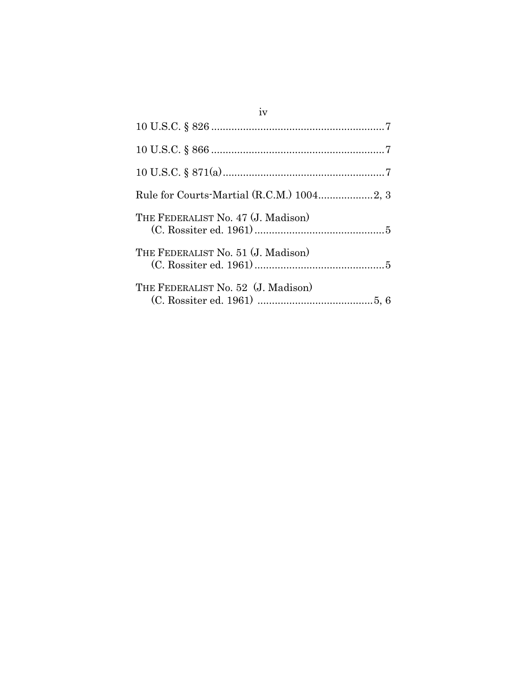| iv                                 |
|------------------------------------|
|                                    |
|                                    |
|                                    |
|                                    |
| THE FEDERALIST No. 47 (J. Madison) |
| THE FEDERALIST No. 51 (J. Madison) |
| THE FEDERALIST No. 52 (J. Madison) |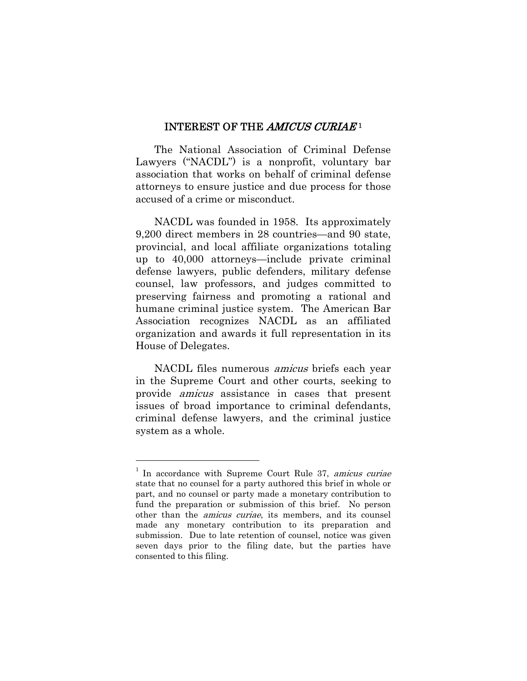#### INTEREST OF THE AMICUS CURIAE<sup>1</sup>

The National Association of Criminal Defense Lawyers ("NACDL") is a nonprofit, voluntary bar association that works on behalf of criminal defense attorneys to ensure justice and due process for those accused of a crime or misconduct.

NACDL was founded in 1958. Its approximately 9,200 direct members in 28 countries—and 90 state, provincial, and local affiliate organizations totaling up to 40,000 attorneys—include private criminal defense lawyers, public defenders, military defense counsel, law professors, and judges committed to preserving fairness and promoting a rational and humane criminal justice system. The American Bar Association recognizes NACDL as an affiliated organization and awards it full representation in its House of Delegates.

NACDL files numerous amicus briefs each year in the Supreme Court and other courts, seeking to provide amicus assistance in cases that present issues of broad importance to criminal defendants, criminal defense lawyers, and the criminal justice system as a whole.

 $\overline{a}$ 

 $1$  In accordance with Supreme Court Rule 37, amicus curiae state that no counsel for a party authored this brief in whole or part, and no counsel or party made a monetary contribution to fund the preparation or submission of this brief. No person other than the amicus curiae, its members, and its counsel made any monetary contribution to its preparation and submission. Due to late retention of counsel, notice was given seven days prior to the filing date, but the parties have consented to this filing.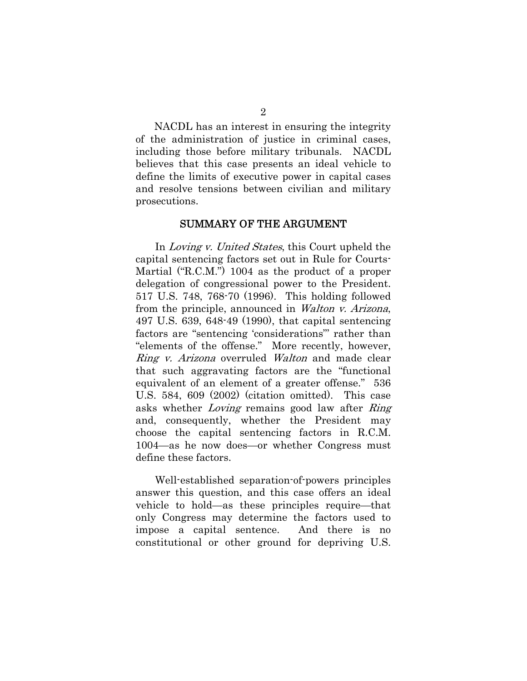NACDL has an interest in ensuring the integrity of the administration of justice in criminal cases, including those before military tribunals. NACDL believes that this case presents an ideal vehicle to define the limits of executive power in capital cases and resolve tensions between civilian and military prosecutions.

#### SUMMARY OF THE ARGUMENT

In Loving v. United States, this Court upheld the capital sentencing factors set out in Rule for Courts-Martial ("R.C.M.") 1004 as the product of a proper delegation of congressional power to the President. 517 U.S. 748, 768-70 (1996). This holding followed from the principle, announced in Walton v. Arizona, 497 U.S. 639, 648-49 (1990), that capital sentencing factors are "sentencing 'considerations"' rather than "elements of the offense." More recently, however, Ring v. Arizona overruled Walton and made clear that such aggravating factors are the "functional equivalent of an element of a greater offense." 536 U.S. 584, 609 (2002) (citation omitted). This case asks whether Loving remains good law after Ring and, consequently, whether the President may choose the capital sentencing factors in R.C.M. 1004—as he now does—or whether Congress must define these factors.

Well-established separation-of-powers principles answer this question, and this case offers an ideal vehicle to hold—as these principles require—that only Congress may determine the factors used to impose a capital sentence. And there is no constitutional or other ground for depriving U.S.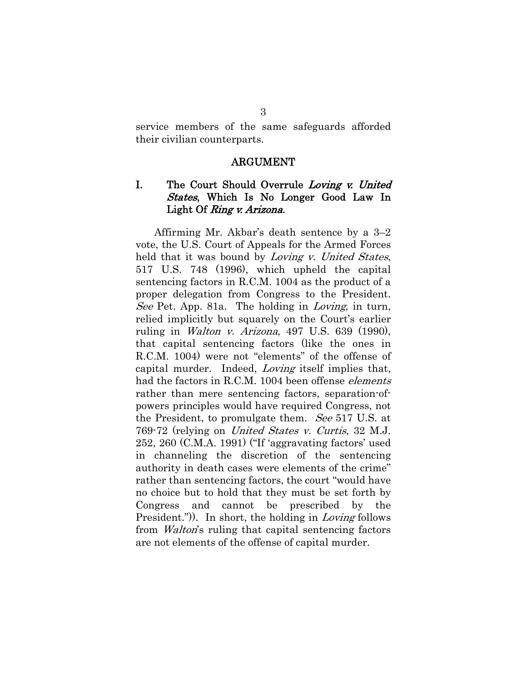service members of the same safeguards afforded their civilian counterparts.

#### ARGUMENT

## I. The Court Should Overrule Loving v. United States, Which Is No Longer Good Law In Light Of *Ring v. Arizona*.

Affirming Mr. Akbar's death sentence by a 3–2 vote, the U.S. Court of Appeals for the Armed Forces held that it was bound by *Loving v. United States*, 517 U.S. 748 (1996), which upheld the capital sentencing factors in R.C.M. 1004 as the product of a proper delegation from Congress to the President. See Pet. App. 81a. The holding in *Loving*, in turn, relied implicitly but squarely on the Court's earlier ruling in *Walton v. Arizona*, 497 U.S. 639 (1990), that capital sentencing factors (like the ones in R.C.M. 1004) were not "elements" of the offense of capital murder. Indeed, Loving itself implies that, had the factors in R.C.M. 1004 been offense *elements* rather than mere sentencing factors, separation-ofpowers principles would have required Congress, not the President, to promulgate them. See 517 U.S. at 769-72 (relying on United States v. Curtis, 32 M.J. 252, 260 (C.M.A. 1991) ("If 'aggravating factors' used in channeling the discretion of the sentencing authority in death cases were elements of the crime" rather than sentencing factors, the court "would have no choice but to hold that they must be set forth by Congress and cannot be prescribed by the President.")). In short, the holding in Loving follows from Walton's ruling that capital sentencing factors are not elements of the offense of capital murder.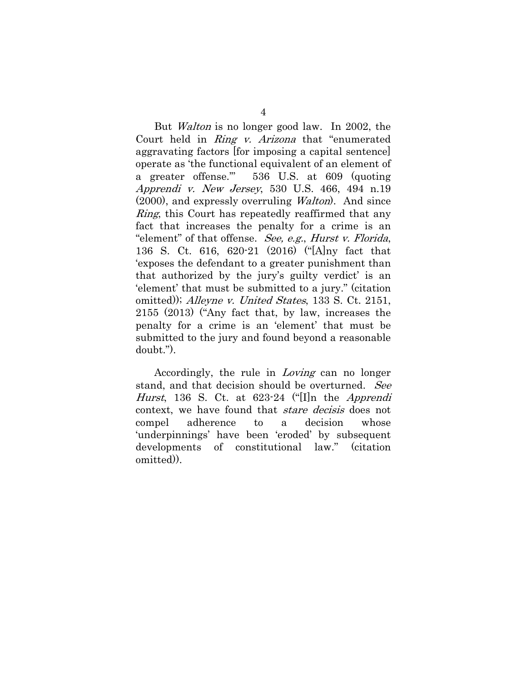But Walton is no longer good law. In 2002, the Court held in Ring v. Arizona that "enumerated aggravating factors [for imposing a capital sentence] operate as 'the functional equivalent of an element of a greater offense.'" 536 U.S. at 609 (quoting Apprendi v. New Jersey, 530 U.S. 466, 494 n.19 (2000), and expressly overruling Walton). And since *Ring*, this Court has repeatedly reaffirmed that any fact that increases the penalty for a crime is an "element" of that offense. See, e.g., Hurst v. Florida, 136 S. Ct. 616, 620-21 (2016) ("[A]ny fact that 'exposes the defendant to a greater punishment than that authorized by the jury's guilty verdict' is an 'element' that must be submitted to a jury." (citation omitted)); Alleyne v. United States, 133 S. Ct. 2151, 2155 (2013) ("Any fact that, by law, increases the penalty for a crime is an 'element' that must be submitted to the jury and found beyond a reasonable doubt.").

Accordingly, the rule in *Loving* can no longer stand, and that decision should be overturned. See Hurst, 136 S. Ct. at  $623-24$  ("[I]n the *Apprendi* context, we have found that stare decisis does not compel adherence to a decision whose 'underpinnings' have been 'eroded' by subsequent developments of constitutional law." (citation omitted)).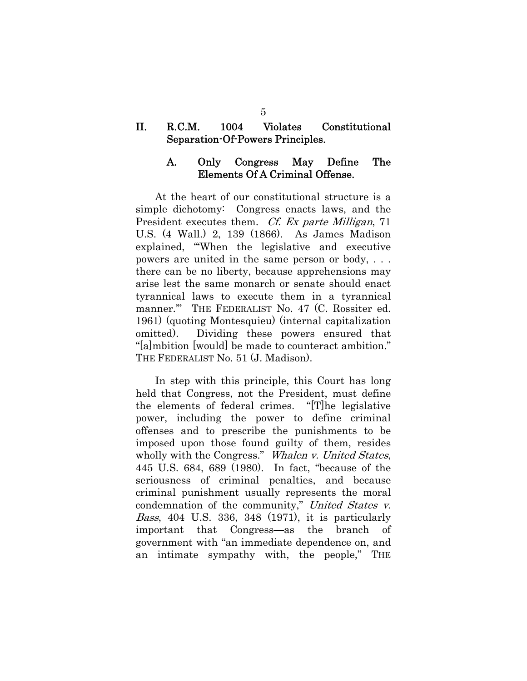### II. R.C.M. 1004 Violates Constitutional Separation-Of-Powers Principles.

### A. Only Congress May Define The Elements Of A Criminal Offense.

At the heart of our constitutional structure is a simple dichotomy: Congress enacts laws, and the President executes them. *Cf. Ex parte Milligan*, 71 U.S. (4 Wall.) 2, 139 (1866). As James Madison explained, "'When the legislative and executive powers are united in the same person or body, . . . there can be no liberty, because apprehensions may arise lest the same monarch or senate should enact tyrannical laws to execute them in a tyrannical manner.'" THE FEDERALIST No. 47 (C. Rossiter ed. 1961) (quoting Montesquieu) (internal capitalization omitted). Dividing these powers ensured that "[a]mbition [would] be made to counteract ambition." THE FEDERALIST No. 51 (J. Madison).

In step with this principle, this Court has long held that Congress, not the President, must define the elements of federal crimes. "[T]he legislative power, including the power to define criminal offenses and to prescribe the punishments to be imposed upon those found guilty of them, resides wholly with the Congress." Whalen v. United States, 445 U.S. 684, 689 (1980). In fact, "because of the seriousness of criminal penalties, and because criminal punishment usually represents the moral condemnation of the community," United States v. Bass, 404 U.S. 336, 348 (1971), it is particularly important that Congress—as the branch of government with "an immediate dependence on, and an intimate sympathy with, the people," THE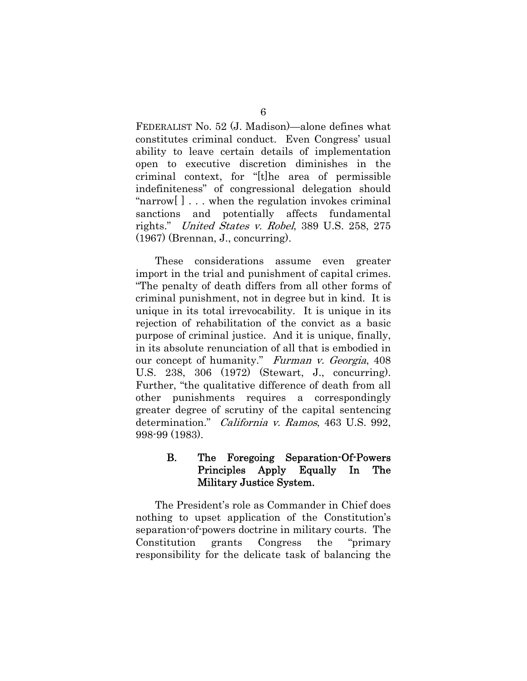FEDERALIST No. 52 (J. Madison)—alone defines what constitutes criminal conduct. Even Congress' usual ability to leave certain details of implementation open to executive discretion diminishes in the criminal context, for "[t]he area of permissible indefiniteness" of congressional delegation should "narrow[ ] . . . when the regulation invokes criminal sanctions and potentially affects fundamental rights." United States v. Robel, 389 U.S. 258, 275 (1967) (Brennan, J., concurring).

These considerations assume even greater import in the trial and punishment of capital crimes. "The penalty of death differs from all other forms of criminal punishment, not in degree but in kind. It is unique in its total irrevocability. It is unique in its rejection of rehabilitation of the convict as a basic purpose of criminal justice. And it is unique, finally, in its absolute renunciation of all that is embodied in our concept of humanity." Furman v. Georgia, 408 U.S. 238, 306 (1972) (Stewart, J., concurring). Further, "the qualitative difference of death from all other punishments requires a correspondingly greater degree of scrutiny of the capital sentencing determination." California v. Ramos, 463 U.S. 992, 998-99 (1983).

## B. The Foregoing Separation-Of-Powers Principles Apply Equally In The Military Justice System.

The President's role as Commander in Chief does nothing to upset application of the Constitution's separation-of-powers doctrine in military courts. The Constitution grants Congress the "primary responsibility for the delicate task of balancing the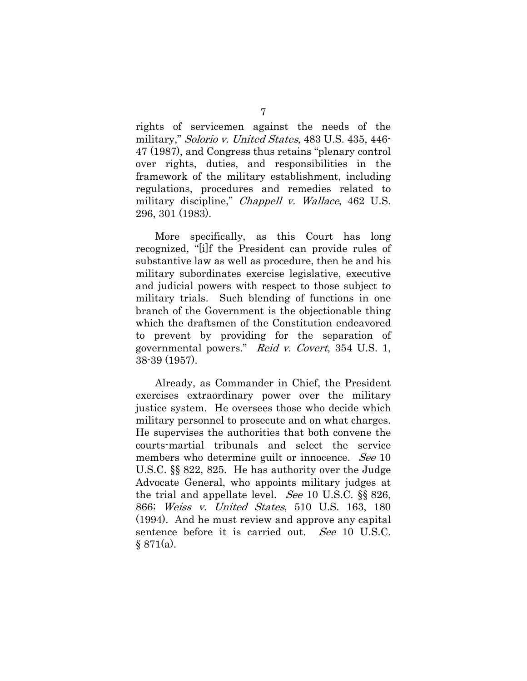rights of servicemen against the needs of the military," Solorio v. United States, 483 U.S. 435, 446- 47 (1987), and Congress thus retains "plenary control over rights, duties, and responsibilities in the framework of the military establishment, including regulations, procedures and remedies related to military discipline," *Chappell v. Wallace*, 462 U.S. 296, 301 (1983).

More specifically, as this Court has long recognized, "[i]f the President can provide rules of substantive law as well as procedure, then he and his military subordinates exercise legislative, executive and judicial powers with respect to those subject to military trials. Such blending of functions in one branch of the Government is the objectionable thing which the draftsmen of the Constitution endeavored to prevent by providing for the separation of governmental powers." Reid v. Covert, 354 U.S. 1, 38-39 (1957).

Already, as Commander in Chief, the President exercises extraordinary power over the military justice system. He oversees those who decide which military personnel to prosecute and on what charges. He supervises the authorities that both convene the courts-martial tribunals and select the service members who determine guilt or innocence. See 10 U.S.C. §§ 822, 825. He has authority over the Judge Advocate General, who appoints military judges at the trial and appellate level. *See* 10 U.S.C.  $\S$  826, 866; Weiss v. United States, 510 U.S. 163, 180 (1994). And he must review and approve any capital sentence before it is carried out. See 10 U.S.C.  $§ 871(a).$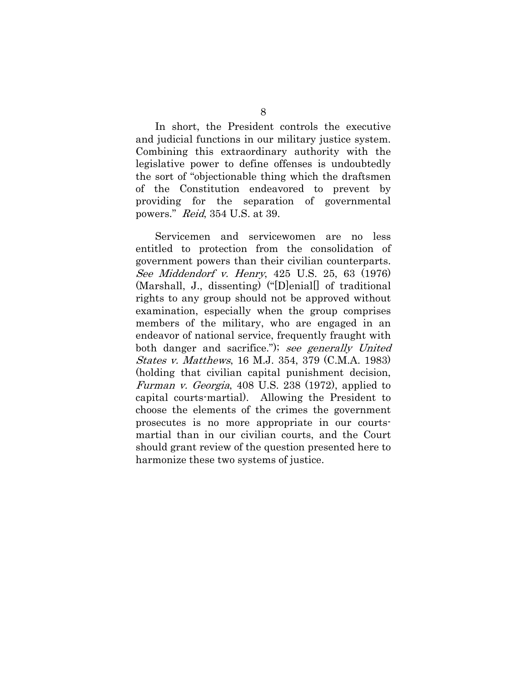In short, the President controls the executive and judicial functions in our military justice system. Combining this extraordinary authority with the legislative power to define offenses is undoubtedly the sort of "objectionable thing which the draftsmen of the Constitution endeavored to prevent by providing for the separation of governmental powers." Reid, 354 U.S. at 39.

Servicemen and servicewomen are no less entitled to protection from the consolidation of government powers than their civilian counterparts. See Middendorf v. Henry, 425 U.S. 25, 63 (1976) (Marshall, J., dissenting) ("[D]enial[] of traditional rights to any group should not be approved without examination, especially when the group comprises members of the military, who are engaged in an endeavor of national service, frequently fraught with both danger and sacrifice."); see generally United States v. Matthews, 16 M.J. 354, 379 (C.M.A. 1983) (holding that civilian capital punishment decision, Furman v. Georgia, 408 U.S. 238 (1972), applied to capital courts-martial). Allowing the President to choose the elements of the crimes the government prosecutes is no more appropriate in our courtsmartial than in our civilian courts, and the Court should grant review of the question presented here to harmonize these two systems of justice.